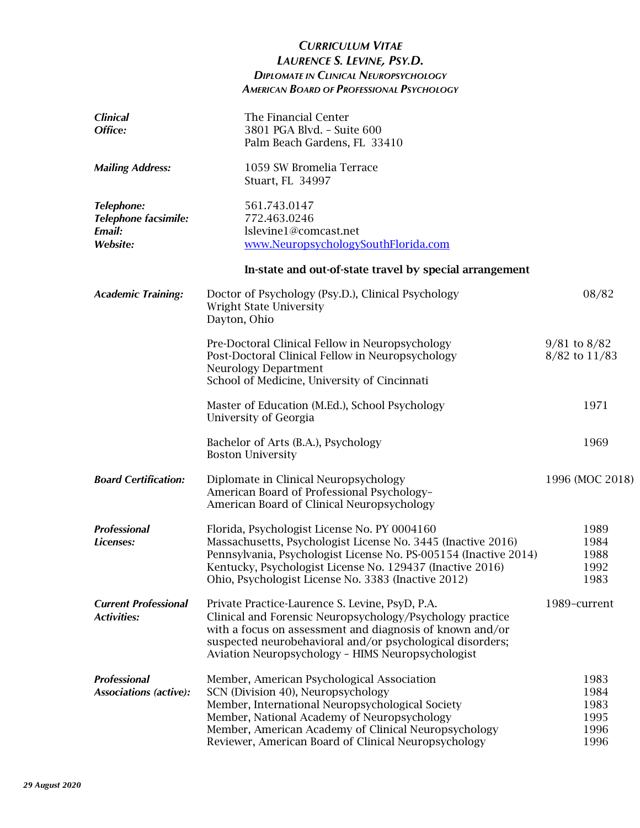## *CURRICULUM VITAE LAURENCE S. LEVINE, PSY.D. DIPLOMATE IN CLINICAL NEUROPSYCHOLOGY AMERICAN BOARD OF PROFESSIONAL PSYCHOLOGY*

| <b>Clinical</b><br>Office:                                             | The Financial Center<br>3801 PGA Blvd. - Suite 600<br>Palm Beach Gardens, FL 33410                                                                                                                                                                                                                   |                                              |
|------------------------------------------------------------------------|------------------------------------------------------------------------------------------------------------------------------------------------------------------------------------------------------------------------------------------------------------------------------------------------------|----------------------------------------------|
| <b>Mailing Address:</b>                                                | 1059 SW Bromelia Terrace<br>Stuart, FL 34997                                                                                                                                                                                                                                                         |                                              |
| <b>Telephone:</b><br>Telephone facsimile:<br>Email:<br><b>Website:</b> | 561.743.0147<br>772.463.0246<br>lslevine1@comcast.net<br>www.NeuropsychologySouthFlorida.com                                                                                                                                                                                                         |                                              |
|                                                                        | In-state and out-of-state travel by special arrangement                                                                                                                                                                                                                                              |                                              |
| <b>Academic Training:</b>                                              | Doctor of Psychology (Psy.D.), Clinical Psychology<br>Wright State University<br>Dayton, Ohio                                                                                                                                                                                                        | 08/82                                        |
|                                                                        | Pre-Doctoral Clinical Fellow in Neuropsychology<br>Post-Doctoral Clinical Fellow in Neuropsychology<br><b>Neurology Department</b><br>School of Medicine, University of Cincinnati                                                                                                                   | $9/81$ to $8/82$<br>8/82 to 11/83            |
|                                                                        | Master of Education (M.Ed.), School Psychology<br>University of Georgia                                                                                                                                                                                                                              | 1971                                         |
|                                                                        | Bachelor of Arts (B.A.), Psychology<br><b>Boston University</b>                                                                                                                                                                                                                                      | 1969                                         |
| <b>Board Certification:</b>                                            | Diplomate in Clinical Neuropsychology<br>American Board of Professional Psychology-<br>American Board of Clinical Neuropsychology                                                                                                                                                                    | 1996 (MOC 2018)                              |
| <b>Professional</b><br>Licenses:                                       | Florida, Psychologist License No. PY 0004160<br>Massachusetts, Psychologist License No. 3445 (Inactive 2016)<br>Pennsylvania, Psychologist License No. PS-005154 (Inactive 2014)<br>Kentucky, Psychologist License No. 129437 (Inactive 2016)<br>Ohio, Psychologist License No. 3383 (Inactive 2012) | 1989<br>1984<br>1988<br>1992<br>1983         |
| <b>Current Professional</b><br><b>Activities:</b>                      | Private Practice-Laurence S. Levine, PsyD, P.A.<br>Clinical and Forensic Neuropsychology/Psychology practice<br>with a focus on assessment and diagnosis of known and/or<br>suspected neurobehavioral and/or psychological disorders;<br>Aviation Neuropsychology - HIMS Neuropsychologist           | 1989-current                                 |
| <b>Professional</b><br><b>Associations (active):</b>                   | Member, American Psychological Association<br>SCN (Division 40), Neuropsychology<br>Member, International Neuropsychological Society<br>Member, National Academy of Neuropsychology<br>Member, American Academy of Clinical Neuropsychology<br>Reviewer, American Board of Clinical Neuropsychology  | 1983<br>1984<br>1983<br>1995<br>1996<br>1996 |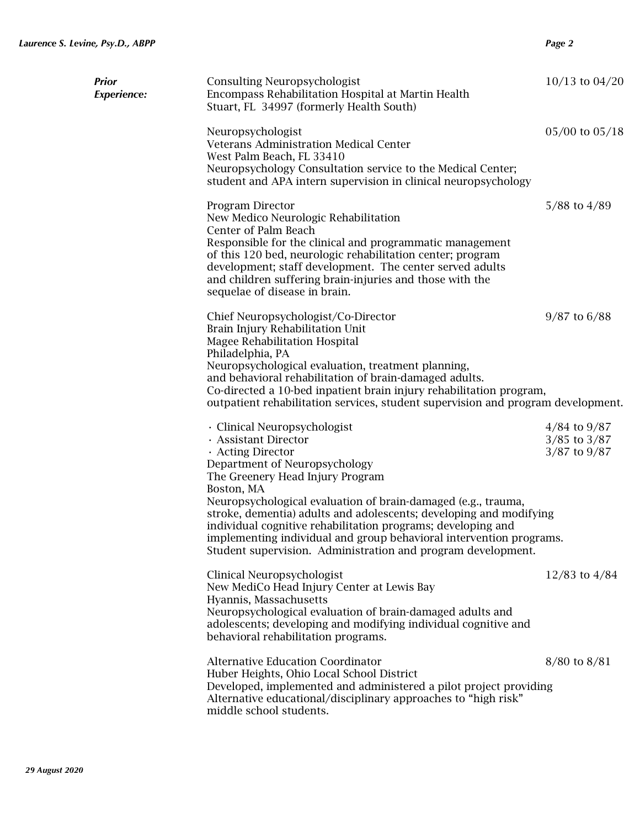| Prior<br>Experience: | <b>Consulting Neuropsychologist</b><br>Encompass Rehabilitation Hospital at Martin Health<br>Stuart, FL 34997 (formerly Health South)                                                                                                                                                                                                                                                                                                                                                                      | $10/13$ to $04/20$                                       |
|----------------------|------------------------------------------------------------------------------------------------------------------------------------------------------------------------------------------------------------------------------------------------------------------------------------------------------------------------------------------------------------------------------------------------------------------------------------------------------------------------------------------------------------|----------------------------------------------------------|
|                      | Neuropsychologist<br><b>Veterans Administration Medical Center</b><br>West Palm Beach, FL 33410<br>Neuropsychology Consultation service to the Medical Center;<br>student and APA intern supervision in clinical neuropsychology                                                                                                                                                                                                                                                                           | $05/00$ to $05/18$                                       |
|                      | Program Director<br>New Medico Neurologic Rehabilitation<br>Center of Palm Beach<br>Responsible for the clinical and programmatic management<br>of this 120 bed, neurologic rehabilitation center; program<br>development; staff development. The center served adults<br>and children suffering brain-injuries and those with the<br>sequelae of disease in brain.                                                                                                                                        | $5/88$ to $4/89$                                         |
|                      | Chief Neuropsychologist/Co-Director<br>Brain Injury Rehabilitation Unit<br>Magee Rehabilitation Hospital<br>Philadelphia, PA<br>Neuropsychological evaluation, treatment planning,<br>and behavioral rehabilitation of brain-damaged adults.<br>Co-directed a 10-bed inpatient brain injury rehabilitation program,<br>outpatient rehabilitation services, student supervision and program development.                                                                                                    | $9/87$ to 6/88                                           |
|                      | · Clinical Neuropsychologist<br>· Assistant Director<br>· Acting Director<br>Department of Neuropsychology<br>The Greenery Head Injury Program<br>Boston, MA<br>Neuropsychological evaluation of brain-damaged (e.g., trauma,<br>stroke, dementia) adults and adolescents; developing and modifying<br>individual cognitive rehabilitation programs; developing and<br>implementing individual and group behavioral intervention programs.<br>Student supervision. Administration and program development. | $4/84$ to $9/87$<br>$3/85$ to $3/87$<br>$3/87$ to $9/87$ |
|                      | Clinical Neuropsychologist<br>New MediCo Head Injury Center at Lewis Bay<br>Hyannis, Massachusetts<br>Neuropsychological evaluation of brain-damaged adults and<br>adolescents; developing and modifying individual cognitive and<br>behavioral rehabilitation programs.                                                                                                                                                                                                                                   | $12/83$ to $4/84$                                        |
|                      | <b>Alternative Education Coordinator</b><br>Huber Heights, Ohio Local School District<br>Developed, implemented and administered a pilot project providing<br>Alternative educational/disciplinary approaches to "high risk"<br>middle school students.                                                                                                                                                                                                                                                    | $8/80$ to $8/81$                                         |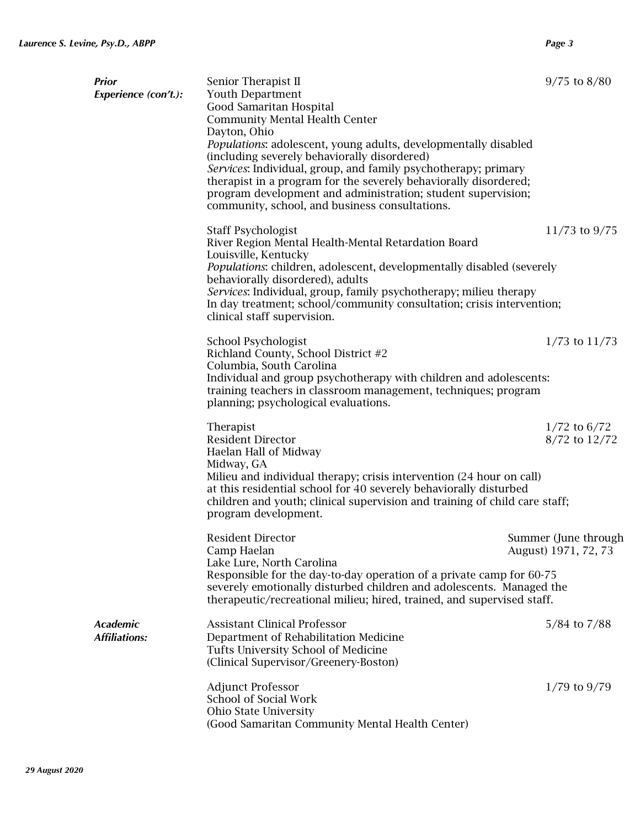| <b>Prior</b><br><b>Experience (con't.):</b> | Senior Therapist II<br>Youth Department<br>Good Samaritan Hospital<br><b>Community Mental Health Center</b><br>Dayton, Ohio<br>Populations: adolescent, young adults, developmentally disabled<br>(including severely behaviorally disordered)<br>Services: Individual, group, and family psychotherapy; primary<br>therapist in a program for the severely behaviorally disordered;<br>program development and administration; student supervision;<br>community, school, and business consultations. | $9/75$ to $8/80$                             |
|---------------------------------------------|--------------------------------------------------------------------------------------------------------------------------------------------------------------------------------------------------------------------------------------------------------------------------------------------------------------------------------------------------------------------------------------------------------------------------------------------------------------------------------------------------------|----------------------------------------------|
|                                             | Staff Psychologist<br>River Region Mental Health-Mental Retardation Board<br>Louisville, Kentucky<br>Populations: children, adolescent, developmentally disabled (severely<br>behaviorally disordered), adults<br>Services: Individual, group, family psychotherapy; milieu therapy<br>In day treatment; school/community consultation; crisis intervention;<br>clinical staff supervision.                                                                                                            | 11/73 to $9/75$                              |
|                                             | School Psychologist<br>Richland County, School District #2<br>Columbia, South Carolina<br>Individual and group psychotherapy with children and adolescents:<br>training teachers in classroom management, techniques; program<br>planning; psychological evaluations.                                                                                                                                                                                                                                  | $1/73$ to $11/73$                            |
|                                             | Therapist<br><b>Resident Director</b><br>Haelan Hall of Midway<br>Midway, GA<br>Milieu and individual therapy; crisis intervention (24 hour on call)<br>at this residential school for 40 severely behaviorally disturbed<br>children and youth; clinical supervision and training of child care staff;<br>program development.                                                                                                                                                                        | $1/72$ to 6/72<br>8/72 to 12/72              |
|                                             | <b>Resident Director</b><br>Camp Haelan<br>Lake Lure, North Carolina<br>Responsible for the day-to-day operation of a private camp for 60-75<br>severely emotionally disturbed children and adolescents. Managed the<br>therapeutic/recreational milieu; hired, trained, and supervised staff.                                                                                                                                                                                                         | Summer (June through<br>August) 1971, 72, 73 |
| <b>Academic</b><br><b>Affiliations:</b>     | <b>Assistant Clinical Professor</b><br>Department of Rehabilitation Medicine<br>Tufts University School of Medicine<br>(Clinical Supervisor/Greenery-Boston)                                                                                                                                                                                                                                                                                                                                           | $5/84$ to $7/88$                             |
|                                             | <b>Adjunct Professor</b><br>School of Social Work<br>Ohio State University<br>(Good Samaritan Community Mental Health Center)                                                                                                                                                                                                                                                                                                                                                                          | $1/79$ to $9/79$                             |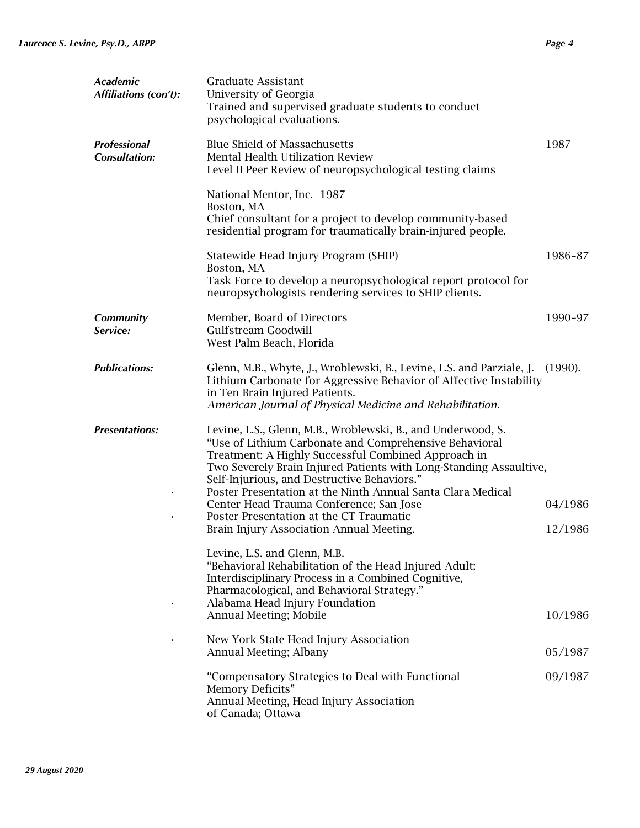| Academic<br>Affiliations (con't):    | Graduate Assistant<br>University of Georgia<br>Trained and supervised graduate students to conduct<br>psychological evaluations.                                                                                                                                                                                                                                                                                                                                                                    |                    |
|--------------------------------------|-----------------------------------------------------------------------------------------------------------------------------------------------------------------------------------------------------------------------------------------------------------------------------------------------------------------------------------------------------------------------------------------------------------------------------------------------------------------------------------------------------|--------------------|
| Professional<br><b>Consultation:</b> | <b>Blue Shield of Massachusetts</b><br><b>Mental Health Utilization Review</b><br>Level II Peer Review of neuropsychological testing claims                                                                                                                                                                                                                                                                                                                                                         | 1987               |
|                                      | National Mentor, Inc. 1987<br>Boston, MA<br>Chief consultant for a project to develop community-based<br>residential program for traumatically brain-injured people.                                                                                                                                                                                                                                                                                                                                |                    |
|                                      | Statewide Head Injury Program (SHIP)<br>Boston, MA<br>Task Force to develop a neuropsychological report protocol for<br>neuropsychologists rendering services to SHIP clients.                                                                                                                                                                                                                                                                                                                      | 1986-87            |
| Community<br>Service:                | Member, Board of Directors<br>Gulfstream Goodwill<br>West Palm Beach, Florida                                                                                                                                                                                                                                                                                                                                                                                                                       | 1990-97            |
| <b>Publications:</b>                 | Glenn, M.B., Whyte, J., Wroblewski, B., Levine, L.S. and Parziale, J.<br>Lithium Carbonate for Aggressive Behavior of Affective Instability<br>in Ten Brain Injured Patients.<br>American Journal of Physical Medicine and Rehabilitation.                                                                                                                                                                                                                                                          | (1990).            |
| <b>Presentations:</b>                | Levine, L.S., Glenn, M.B., Wroblewski, B., and Underwood, S.<br>"Use of Lithium Carbonate and Comprehensive Behavioral<br>Treatment: A Highly Successful Combined Approach in<br>Two Severely Brain Injured Patients with Long-Standing Assaultive,<br>Self-Injurious, and Destructive Behaviors."<br>Poster Presentation at the Ninth Annual Santa Clara Medical<br>Center Head Trauma Conference; San Jose<br>Poster Presentation at the CT Traumatic<br>Brain Injury Association Annual Meeting. | 04/1986<br>12/1986 |
|                                      | Levine, L.S. and Glenn, M.B.<br>"Behavioral Rehabilitation of the Head Injured Adult:<br>Interdisciplinary Process in a Combined Cognitive,<br>Pharmacological, and Behavioral Strategy."<br>Alabama Head Injury Foundation<br>Annual Meeting; Mobile                                                                                                                                                                                                                                               | 10/1986            |
|                                      | New York State Head Injury Association<br>Annual Meeting; Albany                                                                                                                                                                                                                                                                                                                                                                                                                                    | 05/1987            |
|                                      | "Compensatory Strategies to Deal with Functional<br>Memory Deficits"<br>Annual Meeting, Head Injury Association<br>of Canada; Ottawa                                                                                                                                                                                                                                                                                                                                                                | 09/1987            |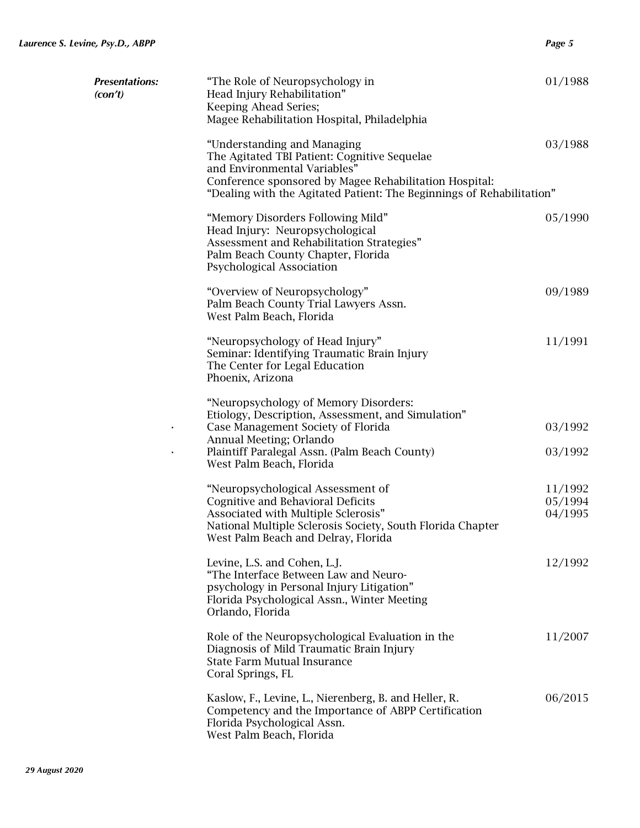| <b>Presentations:</b><br>(con't) | "The Role of Neuropsychology in<br>Head Injury Rehabilitation"<br>Keeping Ahead Series;<br>Magee Rehabilitation Hospital, Philadelphia                                                                                                         | 01/1988                       |
|----------------------------------|------------------------------------------------------------------------------------------------------------------------------------------------------------------------------------------------------------------------------------------------|-------------------------------|
|                                  | "Understanding and Managing<br>The Agitated TBI Patient: Cognitive Sequelae<br>and Environmental Variables"<br>Conference sponsored by Magee Rehabilitation Hospital:<br>"Dealing with the Agitated Patient: The Beginnings of Rehabilitation" | 03/1988                       |
|                                  | "Memory Disorders Following Mild"<br>Head Injury: Neuropsychological<br>Assessment and Rehabilitation Strategies"<br>Palm Beach County Chapter, Florida<br>Psychological Association                                                           | 05/1990                       |
|                                  | "Overview of Neuropsychology"<br>Palm Beach County Trial Lawyers Assn.<br>West Palm Beach, Florida                                                                                                                                             | 09/1989                       |
|                                  | "Neuropsychology of Head Injury"<br>Seminar: Identifying Traumatic Brain Injury<br>The Center for Legal Education<br>Phoenix, Arizona                                                                                                          | 11/1991                       |
|                                  | "Neuropsychology of Memory Disorders:<br>Etiology, Description, Assessment, and Simulation"<br>Case Management Society of Florida<br>Annual Meeting; Orlando<br>Plaintiff Paralegal Assn. (Palm Beach County)<br>West Palm Beach, Florida      | 03/1992<br>03/1992            |
|                                  | "Neuropsychological Assessment of<br>Cognitive and Behavioral Deficits<br>Associated with Multiple Sclerosis"<br>National Multiple Sclerosis Society, South Florida Chapter<br>West Palm Beach and Delray, Florida                             | 11/1992<br>05/1994<br>04/1995 |
|                                  | Levine, L.S. and Cohen, L.J.<br>"The Interface Between Law and Neuro-<br>psychology in Personal Injury Litigation"<br>Florida Psychological Assn., Winter Meeting<br>Orlando, Florida                                                          | 12/1992                       |
|                                  | Role of the Neuropsychological Evaluation in the<br>Diagnosis of Mild Traumatic Brain Injury<br><b>State Farm Mutual Insurance</b><br>Coral Springs, FL                                                                                        | 11/2007                       |
|                                  | Kaslow, F., Levine, L., Nierenberg, B. and Heller, R.<br>Competency and the Importance of ABPP Certification<br>Florida Psychological Assn.<br>West Palm Beach, Florida                                                                        | 06/2015                       |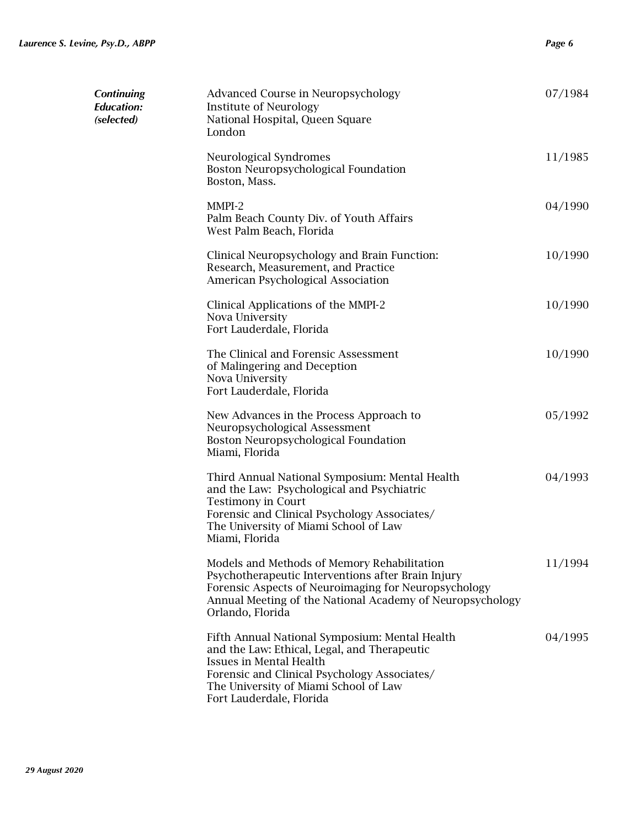| <b>Continuing</b><br>Education:<br>(selected) | Advanced Course in Neuropsychology<br><b>Institute of Neurology</b><br>National Hospital, Queen Square<br>London                                                                                                                                      | 07/1984 |
|-----------------------------------------------|-------------------------------------------------------------------------------------------------------------------------------------------------------------------------------------------------------------------------------------------------------|---------|
|                                               | Neurological Syndromes<br>Boston Neuropsychological Foundation<br>Boston, Mass.                                                                                                                                                                       | 11/1985 |
|                                               | MMPI-2<br>Palm Beach County Div. of Youth Affairs<br>West Palm Beach, Florida                                                                                                                                                                         | 04/1990 |
|                                               | Clinical Neuropsychology and Brain Function:<br>Research, Measurement, and Practice<br>American Psychological Association                                                                                                                             | 10/1990 |
|                                               | Clinical Applications of the MMPI-2<br>Nova University<br>Fort Lauderdale, Florida                                                                                                                                                                    | 10/1990 |
|                                               | The Clinical and Forensic Assessment<br>of Malingering and Deception<br>Nova University<br>Fort Lauderdale, Florida                                                                                                                                   | 10/1990 |
|                                               | New Advances in the Process Approach to<br>Neuropsychological Assessment<br>Boston Neuropsychological Foundation<br>Miami, Florida                                                                                                                    | 05/1992 |
|                                               | Third Annual National Symposium: Mental Health<br>and the Law: Psychological and Psychiatric<br><b>Testimony in Court</b><br>Forensic and Clinical Psychology Associates/<br>The University of Miami School of Law<br>Miami, Florida                  | 04/1993 |
|                                               | Models and Methods of Memory Rehabilitation<br>Psychotherapeutic Interventions after Brain Injury<br>Forensic Aspects of Neuroimaging for Neuropsychology<br>Annual Meeting of the National Academy of Neuropsychology<br>Orlando, Florida            | 11/1994 |
|                                               | Fifth Annual National Symposium: Mental Health<br>and the Law: Ethical, Legal, and Therapeutic<br><b>Issues in Mental Health</b><br>Forensic and Clinical Psychology Associates/<br>The University of Miami School of Law<br>Fort Lauderdale, Florida | 04/1995 |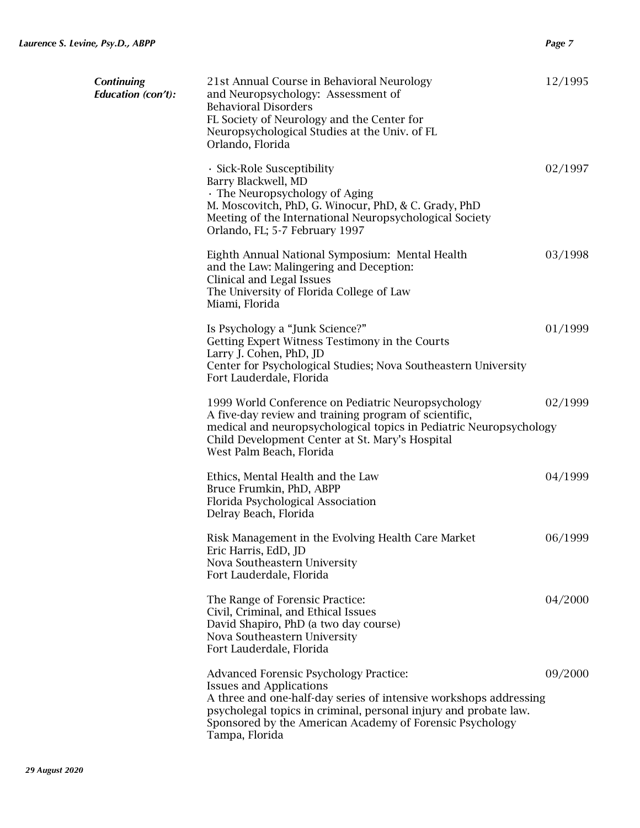| <b>Continuing</b><br><b>Education</b> (con't): | 21st Annual Course in Behavioral Neurology<br>and Neuropsychology: Assessment of<br><b>Behavioral Disorders</b><br>FL Society of Neurology and the Center for<br>Neuropsychological Studies at the Univ. of FL<br>Orlando, Florida                                                              | 12/1995 |
|------------------------------------------------|-------------------------------------------------------------------------------------------------------------------------------------------------------------------------------------------------------------------------------------------------------------------------------------------------|---------|
|                                                | · Sick-Role Susceptibility<br>Barry Blackwell, MD<br>· The Neuropsychology of Aging<br>M. Moscovitch, PhD, G. Winocur, PhD, & C. Grady, PhD<br>Meeting of the International Neuropsychological Society<br>Orlando, FL; 5-7 February 1997                                                        | 02/1997 |
|                                                | Eighth Annual National Symposium: Mental Health<br>and the Law: Malingering and Deception:<br>Clinical and Legal Issues<br>The University of Florida College of Law<br>Miami, Florida                                                                                                           | 03/1998 |
|                                                | Is Psychology a "Junk Science?"<br>Getting Expert Witness Testimony in the Courts<br>Larry J. Cohen, PhD, JD<br>Center for Psychological Studies; Nova Southeastern University<br>Fort Lauderdale, Florida                                                                                      | 01/1999 |
|                                                | 1999 World Conference on Pediatric Neuropsychology<br>A five-day review and training program of scientific,<br>medical and neuropsychological topics in Pediatric Neuropsychology<br>Child Development Center at St. Mary's Hospital<br>West Palm Beach, Florida                                | 02/1999 |
|                                                | Ethics, Mental Health and the Law<br>Bruce Frumkin, PhD, ABPP<br>Florida Psychological Association<br>Delray Beach, Florida                                                                                                                                                                     | 04/1999 |
|                                                | Risk Management in the Evolving Health Care Market<br>Eric Harris, EdD, JD<br>Nova Southeastern University<br>Fort Lauderdale, Florida                                                                                                                                                          | 06/1999 |
|                                                | The Range of Forensic Practice:<br>Civil, Criminal, and Ethical Issues<br>David Shapiro, PhD (a two day course)<br>Nova Southeastern University<br>Fort Lauderdale, Florida                                                                                                                     | 04/2000 |
|                                                | Advanced Forensic Psychology Practice:<br><b>Issues and Applications</b><br>A three and one-half-day series of intensive workshops addressing<br>psycholegal topics in criminal, personal injury and probate law.<br>Sponsored by the American Academy of Forensic Psychology<br>Tampa, Florida | 09/2000 |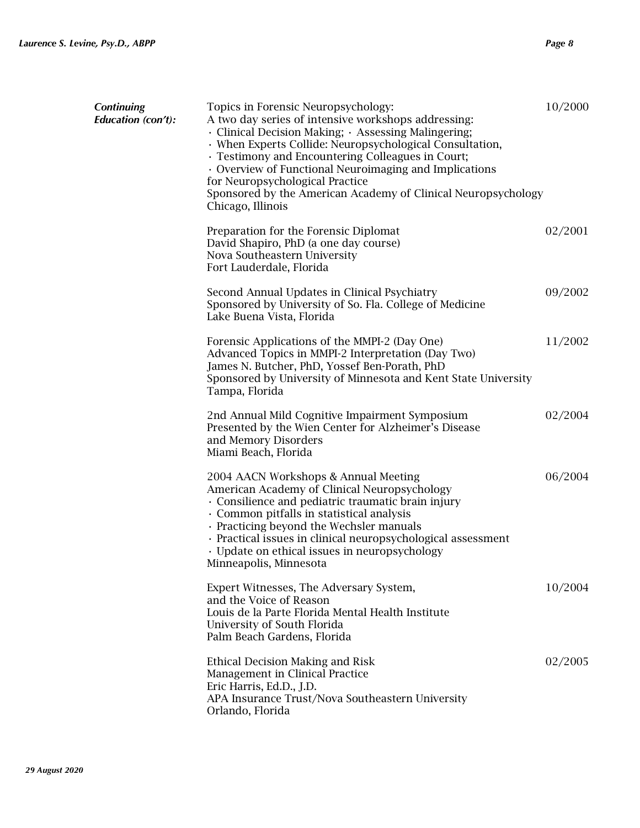| <b>Continuing</b><br><b>Education</b> (con't): | Topics in Forensic Neuropsychology:<br>A two day series of intensive workshops addressing:<br>· Clinical Decision Making; · Assessing Malingering;<br>· When Experts Collide: Neuropsychological Consultation,<br>· Testimony and Encountering Colleagues in Court;<br>• Overview of Functional Neuroimaging and Implications<br>for Neuropsychological Practice<br>Sponsored by the American Academy of Clinical Neuropsychology<br>Chicago, Illinois | 10/2000 |
|------------------------------------------------|--------------------------------------------------------------------------------------------------------------------------------------------------------------------------------------------------------------------------------------------------------------------------------------------------------------------------------------------------------------------------------------------------------------------------------------------------------|---------|
|                                                | Preparation for the Forensic Diplomat<br>David Shapiro, PhD (a one day course)<br>Nova Southeastern University<br>Fort Lauderdale, Florida                                                                                                                                                                                                                                                                                                             | 02/2001 |
|                                                | Second Annual Updates in Clinical Psychiatry<br>Sponsored by University of So. Fla. College of Medicine<br>Lake Buena Vista, Florida                                                                                                                                                                                                                                                                                                                   | 09/2002 |
|                                                | Forensic Applications of the MMPI-2 (Day One)<br>Advanced Topics in MMPI-2 Interpretation (Day Two)<br>James N. Butcher, PhD, Yossef Ben-Porath, PhD<br>Sponsored by University of Minnesota and Kent State University<br>Tampa, Florida                                                                                                                                                                                                               | 11/2002 |
|                                                | 2nd Annual Mild Cognitive Impairment Symposium<br>Presented by the Wien Center for Alzheimer's Disease<br>and Memory Disorders<br>Miami Beach, Florida                                                                                                                                                                                                                                                                                                 | 02/2004 |
|                                                | 2004 AACN Workshops & Annual Meeting<br>American Academy of Clinical Neuropsychology<br>Consilience and pediatric traumatic brain injury<br>· Common pitfalls in statistical analysis<br>· Practicing beyond the Wechsler manuals<br>· Practical issues in clinical neuropsychological assessment<br>· Update on ethical issues in neuropsychology<br>Minneapolis, Minnesota                                                                           | 06/2004 |
|                                                | Expert Witnesses, The Adversary System,<br>and the Voice of Reason<br>Louis de la Parte Florida Mental Health Institute<br>University of South Florida<br>Palm Beach Gardens, Florida                                                                                                                                                                                                                                                                  | 10/2004 |
|                                                | Ethical Decision Making and Risk<br>Management in Clinical Practice<br>Eric Harris, Ed.D., J.D.<br>APA Insurance Trust/Nova Southeastern University<br>Orlando, Florida                                                                                                                                                                                                                                                                                | 02/2005 |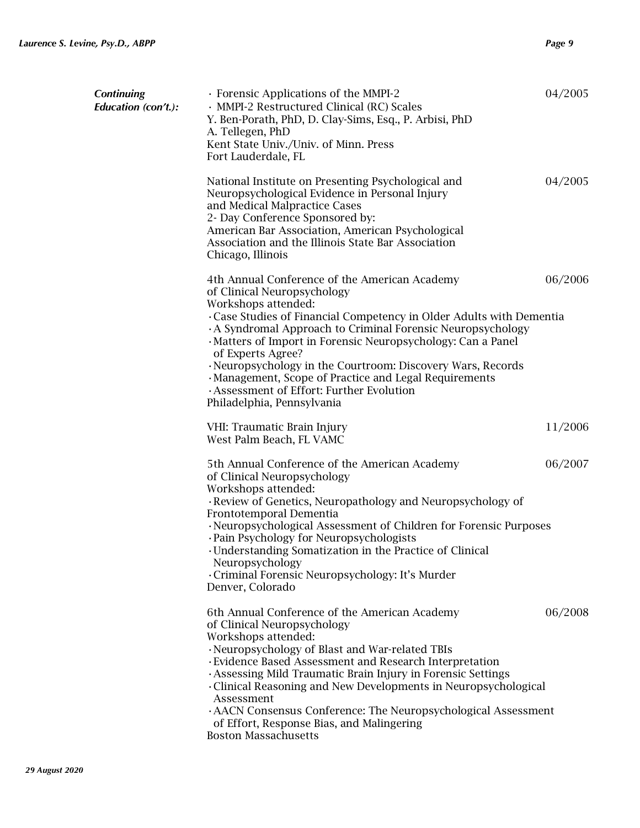| <b>Continuing</b><br>Education (con't.): | · Forensic Applications of the MMPI-2<br>· MMPI-2 Restructured Clinical (RC) Scales<br>Y. Ben-Porath, PhD, D. Clay-Sims, Esq., P. Arbisi, PhD<br>A. Tellegen, PhD<br>Kent State Univ./Univ. of Minn. Press<br>Fort Lauderdale, FL                                                                                                                                                                                                                                                                                             | 04/2005 |
|------------------------------------------|-------------------------------------------------------------------------------------------------------------------------------------------------------------------------------------------------------------------------------------------------------------------------------------------------------------------------------------------------------------------------------------------------------------------------------------------------------------------------------------------------------------------------------|---------|
|                                          | National Institute on Presenting Psychological and<br>Neuropsychological Evidence in Personal Injury<br>and Medical Malpractice Cases<br>2- Day Conference Sponsored by:<br>American Bar Association, American Psychological<br>Association and the Illinois State Bar Association<br>Chicago, Illinois                                                                                                                                                                                                                       | 04/2005 |
|                                          | 4th Annual Conference of the American Academy<br>of Clinical Neuropsychology<br>Workshops attended:<br>Case Studies of Financial Competency in Older Adults with Dementia<br>A Syndromal Approach to Criminal Forensic Neuropsychology<br>· Matters of Import in Forensic Neuropsychology: Can a Panel<br>of Experts Agree?<br>· Neuropsychology in the Courtroom: Discovery Wars, Records<br>· Management, Scope of Practice and Legal Requirements<br>Assessment of Effort: Further Evolution<br>Philadelphia, Pennsylvania | 06/2006 |
|                                          | VHI: Traumatic Brain Injury<br>West Palm Beach, FL VAMC                                                                                                                                                                                                                                                                                                                                                                                                                                                                       | 11/2006 |
|                                          | 5th Annual Conference of the American Academy<br>of Clinical Neuropsychology<br>Workshops attended:<br>· Review of Genetics, Neuropathology and Neuropsychology of<br>Frontotemporal Dementia<br>· Neuropsychological Assessment of Children for Forensic Purposes<br>· Pain Psychology for Neuropsychologists<br>· Understanding Somatization in the Practice of Clinical<br>Neuropsychology<br>· Criminal Forensic Neuropsychology: It's Murder<br>Denver, Colorado                                                         | 06/2007 |
|                                          | 6th Annual Conference of the American Academy<br>of Clinical Neuropsychology<br>Workshops attended:<br>· Neuropsychology of Blast and War-related TBIs<br>· Evidence Based Assessment and Research Interpretation<br>· Assessing Mild Traumatic Brain Injury in Forensic Settings<br>Clinical Reasoning and New Developments in Neuropsychological<br>Assessment<br>· AACN Consensus Conference: The Neuropsychological Assessment<br>of Effort, Response Bias, and Malingering<br><b>Boston Massachusetts</b>                | 06/2008 |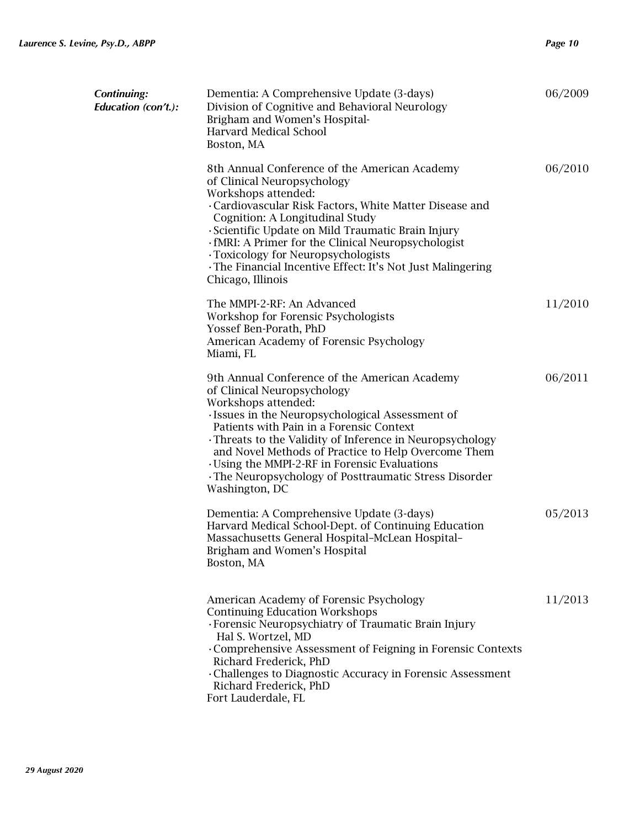| Continuing:<br><b>Education</b> (con't.): | Dementia: A Comprehensive Update (3-days)<br>Division of Cognitive and Behavioral Neurology<br>Brigham and Women's Hospital-<br><b>Harvard Medical School</b><br>Boston, MA                                                                                                                                                                                                                                                                    | 06/2009 |
|-------------------------------------------|------------------------------------------------------------------------------------------------------------------------------------------------------------------------------------------------------------------------------------------------------------------------------------------------------------------------------------------------------------------------------------------------------------------------------------------------|---------|
|                                           | 8th Annual Conference of the American Academy<br>of Clinical Neuropsychology<br>Workshops attended:<br>Cardiovascular Risk Factors, White Matter Disease and<br>Cognition: A Longitudinal Study<br>Scientific Update on Mild Traumatic Brain Injury<br>. fMRI: A Primer for the Clinical Neuropsychologist<br>· Toxicology for Neuropsychologists<br>The Financial Incentive Effect: It's Not Just Malingering<br>Chicago, Illinois            | 06/2010 |
|                                           | The MMPI-2-RF: An Advanced<br>Workshop for Forensic Psychologists<br>Yossef Ben-Porath, PhD<br>American Academy of Forensic Psychology<br>Miami, FL                                                                                                                                                                                                                                                                                            | 11/2010 |
|                                           | 9th Annual Conference of the American Academy<br>of Clinical Neuropsychology<br>Workshops attended:<br>· Issues in the Neuropsychological Assessment of<br>Patients with Pain in a Forensic Context<br>Threats to the Validity of Inference in Neuropsychology<br>and Novel Methods of Practice to Help Overcome Them<br>Using the MMPI-2-RF in Forensic Evaluations<br>The Neuropsychology of Posttraumatic Stress Disorder<br>Washington, DC | 06/2011 |
|                                           | Dementia: A Comprehensive Update (3-days)<br>Harvard Medical School-Dept. of Continuing Education<br>Massachusetts General Hospital-McLean Hospital-<br>Brigham and Women's Hospital<br>Boston, MA                                                                                                                                                                                                                                             | 05/2013 |
|                                           | American Academy of Forensic Psychology<br><b>Continuing Education Workshops</b><br>· Forensic Neuropsychiatry of Traumatic Brain Injury<br>Hal S. Wortzel, MD<br>Comprehensive Assessment of Feigning in Forensic Contexts<br>Richard Frederick, PhD<br>Challenges to Diagnostic Accuracy in Forensic Assessment<br>Richard Frederick, PhD<br>Fort Lauderdale, FL                                                                             | 11/2013 |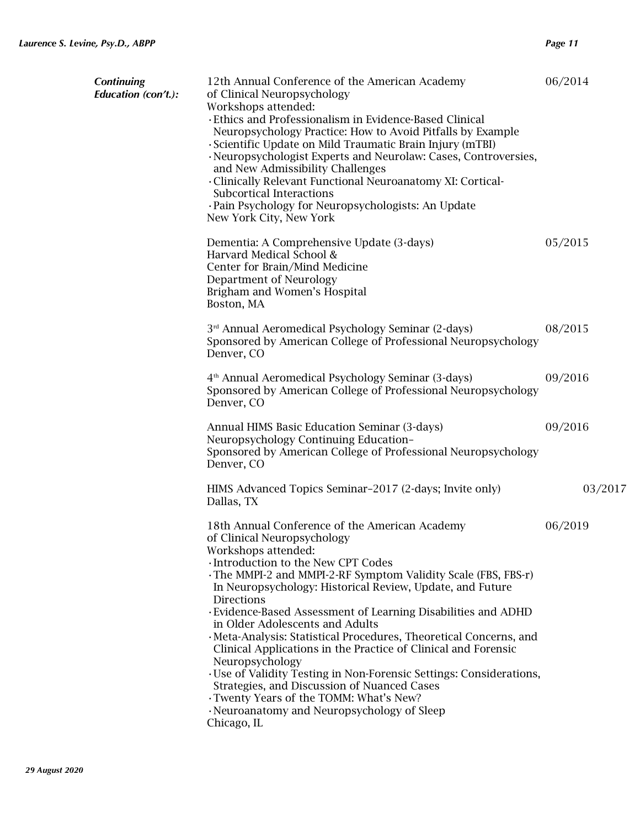| <b>Continuing</b><br>Education (con't.): | 12th Annual Conference of the American Academy<br>of Clinical Neuropsychology<br>Workshops attended:<br>· Ethics and Professionalism in Evidence-Based Clinical<br>Neuropsychology Practice: How to Avoid Pitfalls by Example<br>· Scientific Update on Mild Traumatic Brain Injury (mTBI)<br>· Neuropsychologist Experts and Neurolaw: Cases, Controversies,<br>and New Admissibility Challenges<br>· Clinically Relevant Functional Neuroanatomy XI: Cortical-<br>Subcortical Interactions<br>· Pain Psychology for Neuropsychologists: An Update<br>New York City, New York                                                                                                                                                                                                              | 06/2014 |
|------------------------------------------|---------------------------------------------------------------------------------------------------------------------------------------------------------------------------------------------------------------------------------------------------------------------------------------------------------------------------------------------------------------------------------------------------------------------------------------------------------------------------------------------------------------------------------------------------------------------------------------------------------------------------------------------------------------------------------------------------------------------------------------------------------------------------------------------|---------|
|                                          | Dementia: A Comprehensive Update (3-days)<br>Harvard Medical School &<br>Center for Brain/Mind Medicine<br>Department of Neurology<br>Brigham and Women's Hospital<br>Boston, MA                                                                                                                                                                                                                                                                                                                                                                                                                                                                                                                                                                                                            | 05/2015 |
|                                          | 3 <sup>rd</sup> Annual Aeromedical Psychology Seminar (2-days)<br>Sponsored by American College of Professional Neuropsychology<br>Denver, CO                                                                                                                                                                                                                                                                                                                                                                                                                                                                                                                                                                                                                                               | 08/2015 |
|                                          | 4 <sup>th</sup> Annual Aeromedical Psychology Seminar (3-days)<br>Sponsored by American College of Professional Neuropsychology<br>Denver, CO                                                                                                                                                                                                                                                                                                                                                                                                                                                                                                                                                                                                                                               | 09/2016 |
|                                          | Annual HIMS Basic Education Seminar (3-days)<br>Neuropsychology Continuing Education-<br>Sponsored by American College of Professional Neuropsychology<br>Denver, CO                                                                                                                                                                                                                                                                                                                                                                                                                                                                                                                                                                                                                        | 09/2016 |
|                                          | HIMS Advanced Topics Seminar-2017 (2-days; Invite only)<br>Dallas, TX                                                                                                                                                                                                                                                                                                                                                                                                                                                                                                                                                                                                                                                                                                                       | 03/2017 |
|                                          | 18th Annual Conference of the American Academy<br>of Clinical Neuropsychology<br>Workshops attended:<br>· Introduction to the New CPT Codes<br>The MMPI-2 and MMPI-2-RF Symptom Validity Scale (FBS, FBS-r)<br>In Neuropsychology: Historical Review, Update, and Future<br><b>Directions</b><br>· Evidence-Based Assessment of Learning Disabilities and ADHD<br>in Older Adolescents and Adults<br>· Meta-Analysis: Statistical Procedures, Theoretical Concerns, and<br>Clinical Applications in the Practice of Clinical and Forensic<br>Neuropsychology<br>· Use of Validity Testing in Non-Forensic Settings: Considerations,<br>Strategies, and Discussion of Nuanced Cases<br>. Twenty Years of the TOMM: What's New?<br>· Neuroanatomy and Neuropsychology of Sleep<br>Chicago, IL | 06/2019 |